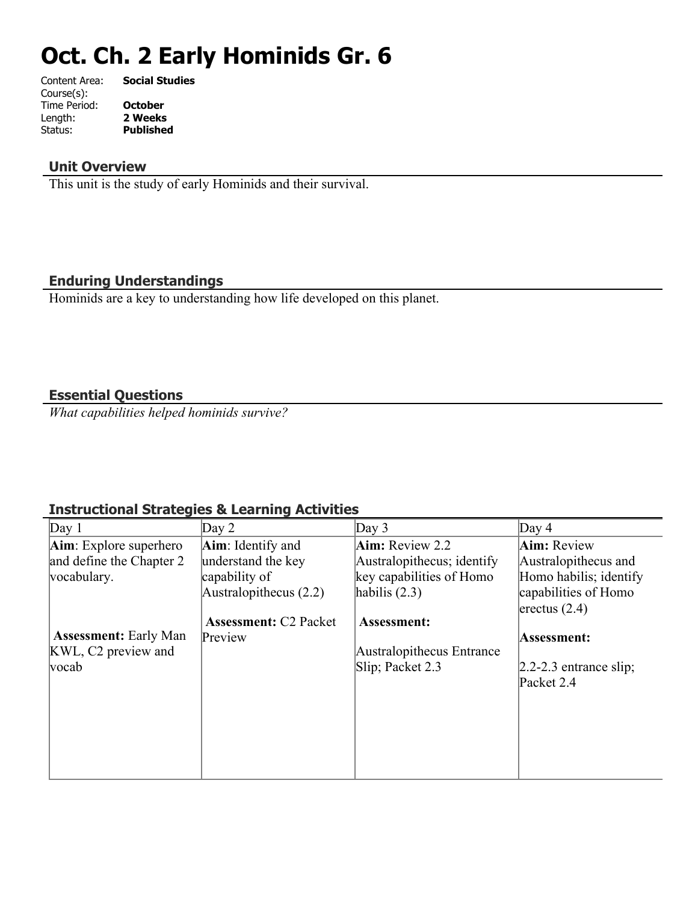# **Oct. Ch. 2 Early Hominids Gr. 6**

| Content Area: | <b>Social Studies</b> |
|---------------|-----------------------|
| Course(s):    |                       |
| Time Period:  | <b>October</b>        |
| Length:       | 2 Weeks               |
| Status:       | <b>Published</b>      |
|               |                       |

# **Unit Overview**

This unit is the study of early Hominids and their survival.

## **Enduring Understandings**

Hominids are a key to understanding how life developed on this planet.

### **Essential Questions**

*What capabilities helped hominids survive?*

# **Instructional Strategies & Learning Activities**

| Day 1                           | $\text{Day } 2$              | Day $3$                    | Day $4$                    |
|---------------------------------|------------------------------|----------------------------|----------------------------|
| <b>Aim</b> : Explore superhero  | Aim: Identify and            | Aim: Review 2.2            | <b>Aim:</b> Review         |
| and define the Chapter 2        | understand the key           | Australopithecus; identify | Australopithecus and       |
| vocabulary.                     | capability of                | key capabilities of Homo   | Homo habilis; identify     |
|                                 | Australopithecus $(2.2)$     | habilis $(2.3)$            | capabilities of Homo       |
|                                 |                              |                            | $ $ erectus $(2.4)$        |
|                                 | <b>Assessment: C2 Packet</b> | Assessment:                |                            |
| <b>Assessment: Early Man</b>    | Preview                      |                            | Assessment:                |
| KWL, C <sub>2</sub> preview and |                              | Australopithecus Entrance  |                            |
| $\sqrt{vccab}$                  |                              | Slip; Packet 2.3           | $[2.2-2.3]$ entrance slip; |
|                                 |                              |                            | Packet 2.4                 |
|                                 |                              |                            |                            |
|                                 |                              |                            |                            |
|                                 |                              |                            |                            |
|                                 |                              |                            |                            |
|                                 |                              |                            |                            |
|                                 |                              |                            |                            |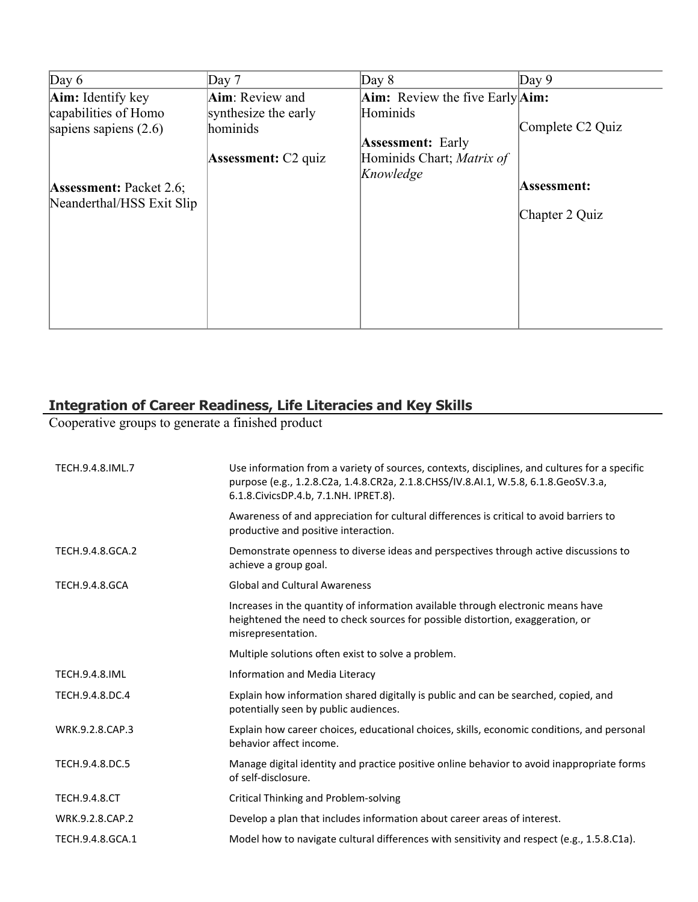| Day 6                          | Day $7$                      | Day $8$                                       | Day $9$                      |
|--------------------------------|------------------------------|-----------------------------------------------|------------------------------|
| Aim: Identify key              | Aim: Review and              | <b>Aim:</b> Review the five Early <b>Aim:</b> |                              |
| capabilities of Homo           | synthesize the early         | Hominids                                      |                              |
| sapiens sapiens $(2.6)$        | hominids                     |                                               | Complete C <sub>2</sub> Quiz |
|                                |                              | <b>Assessment: Early</b>                      |                              |
|                                | <b>Assessment:</b> $C2$ quiz | Hominids Chart; Matrix of                     |                              |
|                                |                              | Knowledge                                     |                              |
| <b>Assessment: Packet 2.6;</b> |                              |                                               | Assessment:                  |
| Neanderthal/HSS Exit Slip      |                              |                                               | Chapter 2 Quiz               |
|                                |                              |                                               |                              |
|                                |                              |                                               |                              |
|                                |                              |                                               |                              |
|                                |                              |                                               |                              |
|                                |                              |                                               |                              |
|                                |                              |                                               |                              |
|                                |                              |                                               |                              |

# **Integration of Career Readiness, Life Literacies and Key Skills**

Cooperative groups to generate a finished product

| TECH.9.4.8.IML.7      | Use information from a variety of sources, contexts, disciplines, and cultures for a specific<br>purpose (e.g., 1.2.8.C2a, 1.4.8.CR2a, 2.1.8.CHSS/IV.8.AI.1, W.5.8, 6.1.8.GeoSV.3.a,<br>6.1.8. Civics DP. 4.b, 7.1. NH. IPRET. 8). |
|-----------------------|------------------------------------------------------------------------------------------------------------------------------------------------------------------------------------------------------------------------------------|
|                       | Awareness of and appreciation for cultural differences is critical to avoid barriers to<br>productive and positive interaction.                                                                                                    |
| TECH.9.4.8.GCA.2      | Demonstrate openness to diverse ideas and perspectives through active discussions to<br>achieve a group goal.                                                                                                                      |
| <b>TECH.9.4.8.GCA</b> | <b>Global and Cultural Awareness</b>                                                                                                                                                                                               |
|                       | Increases in the quantity of information available through electronic means have<br>heightened the need to check sources for possible distortion, exaggeration, or<br>misrepresentation.                                           |
|                       | Multiple solutions often exist to solve a problem.                                                                                                                                                                                 |
| <b>TECH.9.4.8.IML</b> | Information and Media Literacy                                                                                                                                                                                                     |
| TECH.9.4.8.DC.4       | Explain how information shared digitally is public and can be searched, copied, and<br>potentially seen by public audiences.                                                                                                       |
| WRK.9.2.8.CAP.3       | Explain how career choices, educational choices, skills, economic conditions, and personal<br>behavior affect income.                                                                                                              |
| TECH.9.4.8.DC.5       | Manage digital identity and practice positive online behavior to avoid inappropriate forms<br>of self-disclosure.                                                                                                                  |
| <b>TECH.9.4.8.CT</b>  | Critical Thinking and Problem-solving                                                                                                                                                                                              |
| WRK.9.2.8.CAP.2       | Develop a plan that includes information about career areas of interest.                                                                                                                                                           |
| TECH.9.4.8.GCA.1      | Model how to navigate cultural differences with sensitivity and respect (e.g., 1.5.8.C1a).                                                                                                                                         |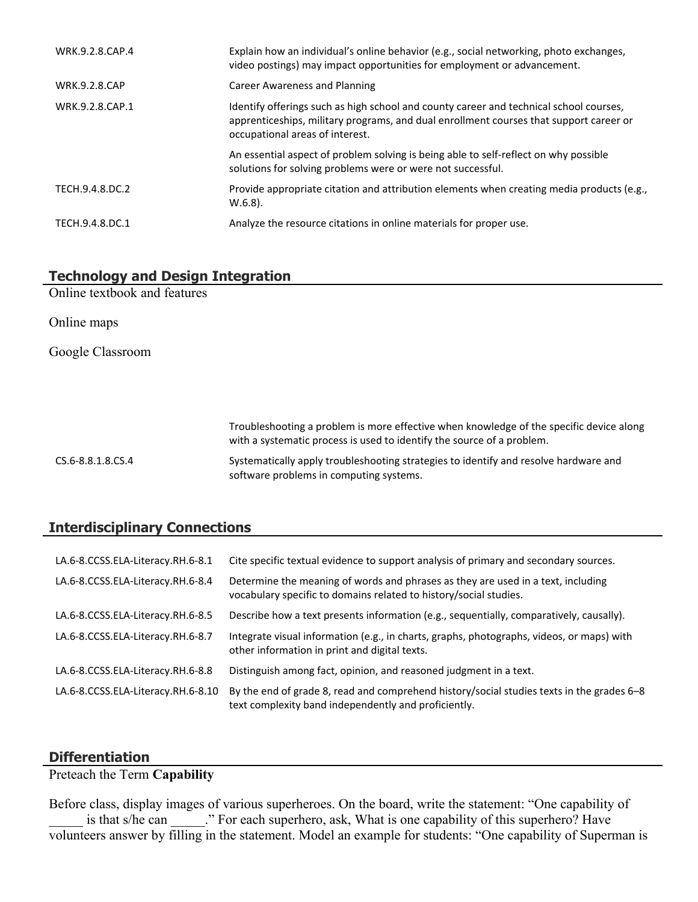| WRK.9.2.8.CAP.4      | Explain how an individual's online behavior (e.g., social networking, photo exchanges,<br>video postings) may impact opportunities for employment or advancement.                                                   |
|----------------------|---------------------------------------------------------------------------------------------------------------------------------------------------------------------------------------------------------------------|
| <b>WRK.9.2.8.CAP</b> | Career Awareness and Planning                                                                                                                                                                                       |
| WRK.9.2.8.CAP.1      | Identify offerings such as high school and county career and technical school courses,<br>apprenticeships, military programs, and dual enrollment courses that support career or<br>occupational areas of interest. |
|                      | An essential aspect of problem solving is being able to self-reflect on why possible<br>solutions for solving problems were or were not successful.                                                                 |
| TECH.9.4.8.DC.2      | Provide appropriate citation and attribution elements when creating media products (e.g.,<br>$W.6.8$ ).                                                                                                             |
| TECH.9.4.8.DC.1      | Analyze the resource citations in online materials for proper use.                                                                                                                                                  |

## **Technology and Design Integration**

Online textbook and features

Online maps

Google Classroom

Troubleshooting a problem is more effective when knowledge of the specific device along with a systematic process is used to identify the source of a problem. CS.6-8.8.1.8.CS.4 Systematically apply troubleshooting strategies to identify and resolve hardware and software problems in computing systems.

## **Interdisciplinary Connections**

| LA.6-8.CCSS.ELA-Literacy.RH.6-8.1  | Cite specific textual evidence to support analysis of primary and secondary sources.                                                                  |
|------------------------------------|-------------------------------------------------------------------------------------------------------------------------------------------------------|
| LA.6-8.CCSS.ELA-Literacy.RH.6-8.4  | Determine the meaning of words and phrases as they are used in a text, including<br>vocabulary specific to domains related to history/social studies. |
| LA.6-8.CCSS.ELA-Literacy.RH.6-8.5  | Describe how a text presents information (e.g., sequentially, comparatively, causally).                                                               |
| LA.6-8.CCSS.ELA-Literacy.RH.6-8.7  | Integrate visual information (e.g., in charts, graphs, photographs, videos, or maps) with<br>other information in print and digital texts.            |
| LA.6-8.CCSS.ELA-Literacy.RH.6-8.8  | Distinguish among fact, opinion, and reasoned judgment in a text.                                                                                     |
| LA.6-8.CCSS.ELA-Literacy.RH.6-8.10 | By the end of grade 8, read and comprehend history/social studies texts in the grades 6-8<br>text complexity band independently and proficiently.     |

#### **Differentiation**

Preteach the Term **Capability**

Before class, display images of various superheroes. On the board, write the statement: "One capability of is that s/he can \_\_\_\_\_." For each superhero, ask, What is one capability of this superhero? Have volunteers answer by filling in the statement. Model an example for students: "One capability of Superman is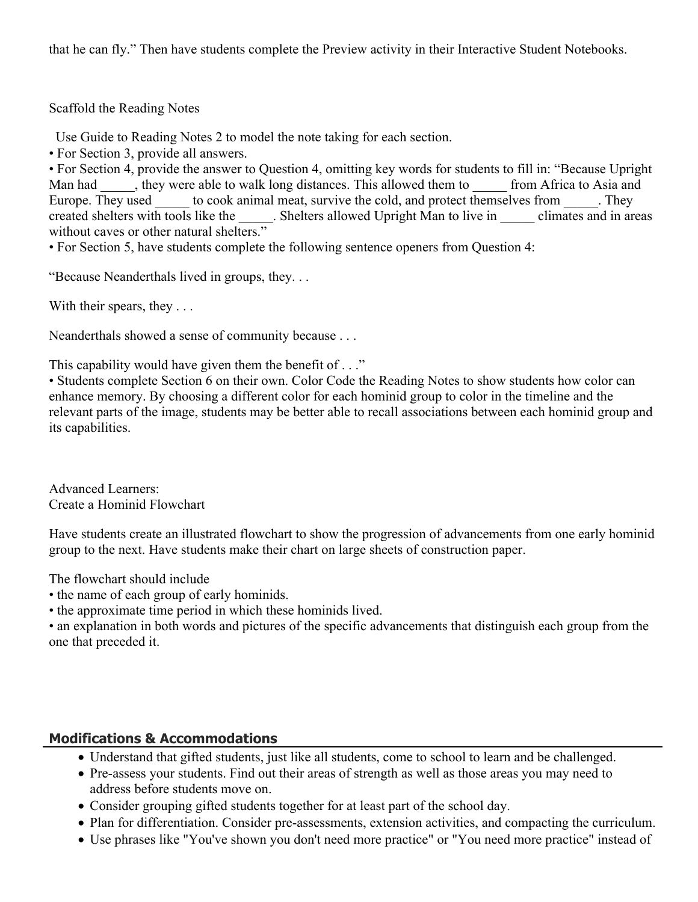that he can fly." Then have students complete the Preview activity in their Interactive Student Notebooks.

Scaffold the Reading Notes

Use Guide to Reading Notes 2 to model the note taking for each section.

• For Section 3, provide all answers.

• For Section 4, provide the answer to Question 4, omitting key words for students to fill in: "Because Upright Man had , they were able to walk long distances. This allowed them to from Africa to Asia and Europe. They used to cook animal meat, survive the cold, and protect themselves from They created shelters with tools like the . Shelters allowed Upright Man to live in climates and in areas without caves or other natural shelters."

• For Section 5, have students complete the following sentence openers from Question 4:

"Because Neanderthals lived in groups, they. . .

With their spears, they ...

Neanderthals showed a sense of community because . . .

This capability would have given them the benefit of . . ."

• Students complete Section 6 on their own. Color Code the Reading Notes to show students how color can enhance memory. By choosing a different color for each hominid group to color in the timeline and the relevant parts of the image, students may be better able to recall associations between each hominid group and its capabilities.

Advanced Learners: Create a Hominid Flowchart

Have students create an illustrated flowchart to show the progression of advancements from one early hominid group to the next. Have students make their chart on large sheets of construction paper.

The flowchart should include

- the name of each group of early hominids.
- the approximate time period in which these hominids lived.

• an explanation in both words and pictures of the specific advancements that distinguish each group from the one that preceded it.

## **Modifications & Accommodations**

- Understand that gifted students, just like all students, come to school to learn and be challenged.
- Pre-assess your students. Find out their areas of strength as well as those areas you may need to address before students move on.
- Consider grouping gifted students together for at least part of the school day.
- Plan for differentiation. Consider pre-assessments, extension activities, and compacting the curriculum.
- Use phrases like "You've shown you don't need more practice" or "You need more practice" instead of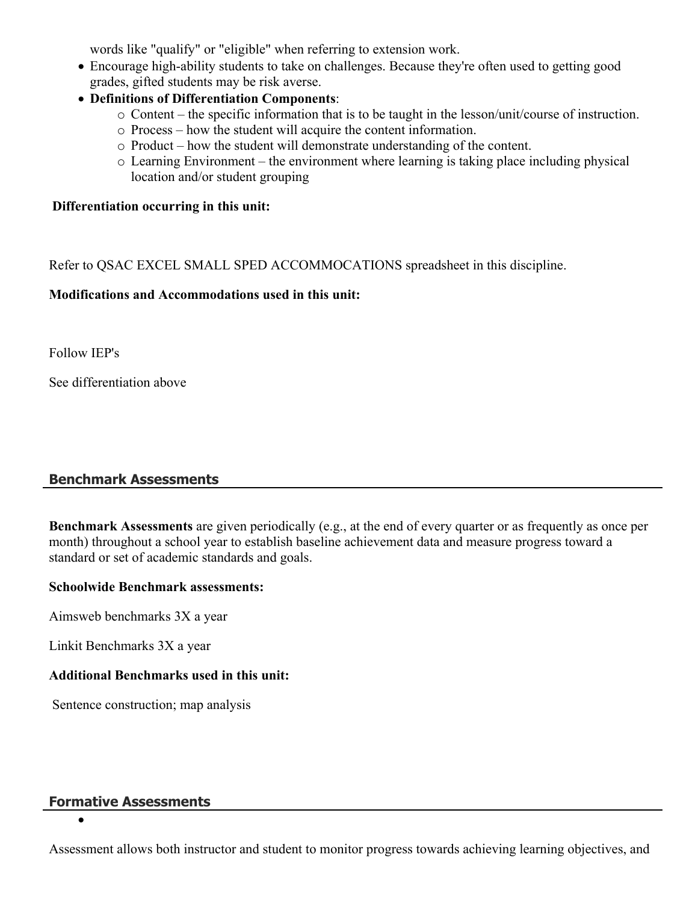words like "qualify" or "eligible" when referring to extension work.

- Encourage high-ability students to take on challenges. Because they're often used to getting good grades, gifted students may be risk averse.
- **Definitions of Differentiation Components**:
	- o Content the specific information that is to be taught in the lesson/unit/course of instruction.
	- o Process how the student will acquire the content information.
	- o Product how the student will demonstrate understanding of the content.
	- o Learning Environment the environment where learning is taking place including physical location and/or student grouping

## **Differentiation occurring in this unit:**

Refer to QSAC EXCEL SMALL SPED ACCOMMOCATIONS spreadsheet in this discipline.

## **Modifications and Accommodations used in this unit:**

Follow IEP's

See differentiation above

## **Benchmark Assessments**

**Benchmark Assessments** are given periodically (e.g., at the end of every quarter or as frequently as once per month) throughout a school year to establish baseline achievement data and measure progress toward a standard or set of academic standards and goals.

#### **Schoolwide Benchmark assessments:**

Aimsweb benchmarks 3X a year

Linkit Benchmarks 3X a year

## **Additional Benchmarks used in this unit:**

Sentence construction; map analysis

# **Formative Assessments**

 $\bullet$ 

Assessment allows both instructor and student to monitor progress towards achieving learning objectives, and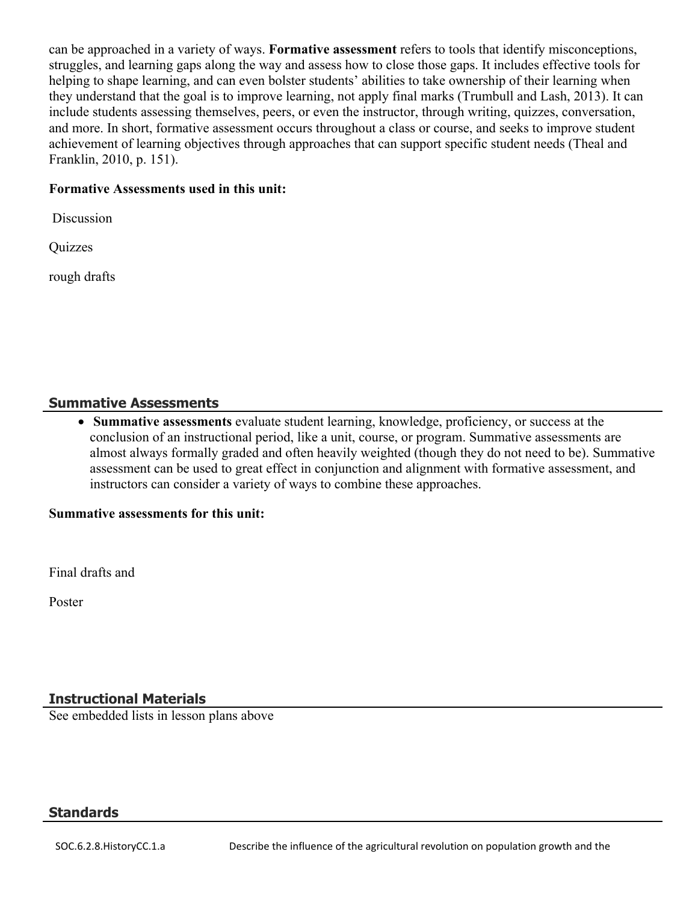can be approached in a variety of ways. **Formative assessment** refers to tools that identify misconceptions, struggles, and learning gaps along the way and assess how to close those gaps. It includes effective tools for helping to shape learning, and can even bolster students' abilities to take ownership of their learning when they understand that the goal is to improve learning, not apply final marks (Trumbull and Lash, 2013). It can include students assessing themselves, peers, or even the instructor, through writing, quizzes, conversation, and more. In short, formative assessment occurs throughout a class or course, and seeks to improve student achievement of learning objectives through approaches that can support specific student needs (Theal and Franklin, 2010, p. 151).

#### **Formative Assessments used in this unit:**

Discussion

**Quizzes** 

rough drafts

#### **Summative Assessments**

 **Summative assessments** evaluate student learning, knowledge, proficiency, or success at the conclusion of an instructional period, like a unit, course, or program. Summative assessments are almost always formally graded and often heavily weighted (though they do not need to be). Summative assessment can be used to great effect in conjunction and alignment with formative assessment, and instructors can consider a variety of ways to combine these approaches.

#### **Summative assessments for this unit:**

Final drafts and

Poster

#### **Instructional Materials**

See embedded lists in lesson plans above

#### **Standards**